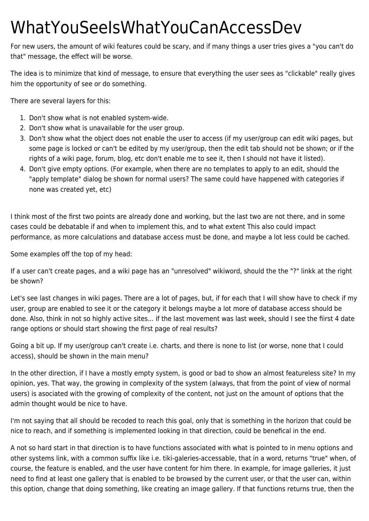## WhatYouSeeIsWhatYouCanAccessDev

For new users, the amount of wiki features could be scary, and if many things a user tries gives a "you can't do that" message, the effect will be worse.

The idea is to minimize that kind of message, to ensure that everything the user sees as "clickable" really gives him the opportunity of see or do something.

There are several layers for this:

- 1. Don't show what is not enabled system-wide.
- 2. Don't show what is unavailable for the user group.
- 3. Don't show what the object does not enable the user to access (if my user/group can edit wiki pages, but some page is locked or can't be edited by my user/group, then the edit tab should not be shown; or if the rights of a wiki page, forum, blog, etc don't enable me to see it, then I should not have it listed).
- 4. Don't give empty options. (For example, when there are no templates to apply to an edit, should the "apply template" dialog be shown for normal users? The same could have happened with categories if none was created yet, etc)

I think most of the first two points are already done and working, but the last two are not there, and in some cases could be debatable if and when to implement this, and to what extent This also could impact performance, as more calculations and database access must be done, and maybe a lot less could be cached.

Some examples off the top of my head:

If a user can't create pages, and a wiki page has an "unresolved" wikiword, should the the "?" linkk at the right be shown?

Let's see last changes in wiki pages. There are a lot of pages, but, if for each that I will show have to check if my user, group are enabled to see it or the category it belongs maybe a lot more of database access should be done. Also, think in not so highly active sites... if the last movement was last week, should I see the fiirst 4 date range options or should start showing the first page of real results?

Going a bit up. If my user/group can't create i.e. charts, and there is none to list (or worse, none that I could access), should be shown in the main menu?

In the other direction, if I have a mostly empty system, is good or bad to show an almost featureless site? In my opinion, yes. That way, the growing in complexity of the system (always, that from the point of view of normal users) is asociated with the growing of complexity of the content, not just on the amount of options that the admin thought would be nice to have.

I'm not saying that all should be recoded to reach this goal, only that is something in the horizon that could be nice to reach, and if something is implemented looking in that direction, could be benefical in the end.

A not so hard start in that direction is to have functions associated with what is pointed to in menu options and other systems link, with a common suffix like i.e. tiki-galeries-accessable, that in a word, returns "true" when, of course, the feature is enabled, and the user have content for him there. In example, for image galleries, it just need to find at least one gallery that is enabled to be browsed by the current user, or that the user can, within this option, change that doing something, like creating an image gallery. If that functions returns true, then the